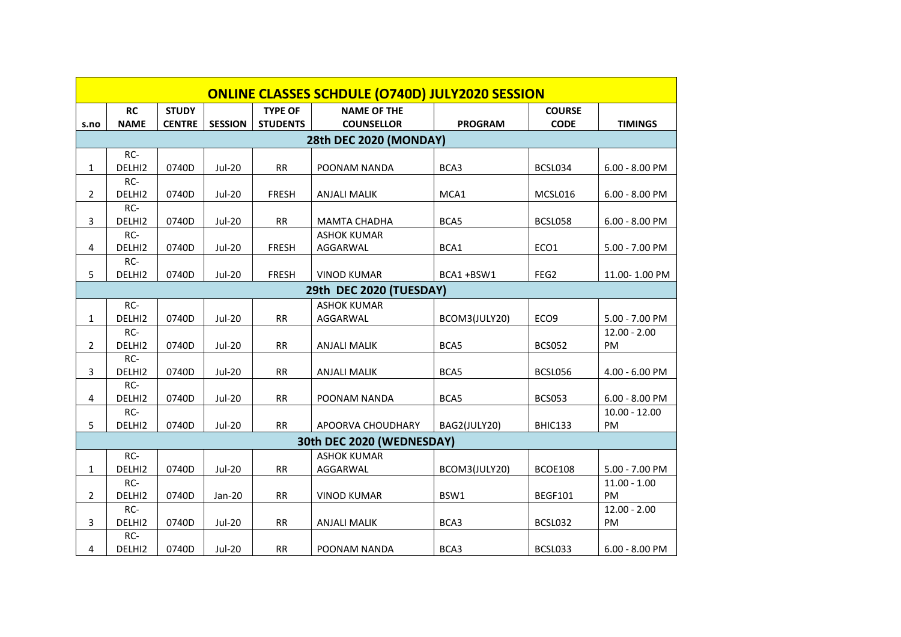| <b>ONLINE CLASSES SCHDULE (O740D) JULY2020 SESSION</b> |             |               |                |                 |                     |                |                  |                  |  |  |
|--------------------------------------------------------|-------------|---------------|----------------|-----------------|---------------------|----------------|------------------|------------------|--|--|
|                                                        | <b>RC</b>   | <b>STUDY</b>  |                | <b>TYPE OF</b>  | <b>NAME OF THE</b>  |                | <b>COURSE</b>    |                  |  |  |
| s.no                                                   | <b>NAME</b> | <b>CENTRE</b> | <b>SESSION</b> | <b>STUDENTS</b> | <b>COUNSELLOR</b>   | <b>PROGRAM</b> | <b>CODE</b>      | <b>TIMINGS</b>   |  |  |
| 28th DEC 2020 (MONDAY)                                 |             |               |                |                 |                     |                |                  |                  |  |  |
|                                                        | RC-         |               |                |                 |                     |                |                  |                  |  |  |
| 1                                                      | DELHI2      | 0740D         | <b>Jul-20</b>  | RR              | POONAM NANDA        | BCA3           | BCSL034          | $6.00 - 8.00$ PM |  |  |
|                                                        | RC-         |               |                |                 |                     |                |                  |                  |  |  |
| 2                                                      | DELHI2      | 0740D         | $Jul-20$       | <b>FRESH</b>    | <b>ANJALI MALIK</b> | MCA1           | MCSL016          | $6.00 - 8.00$ PM |  |  |
|                                                        | RC-         |               |                |                 |                     |                |                  |                  |  |  |
| 3                                                      | DELHI2      | 0740D         | <b>Jul-20</b>  | RR              | <b>MAMTA CHADHA</b> | BCA5           | BCSL058          | $6.00 - 8.00$ PM |  |  |
|                                                        | RC-         |               |                |                 | <b>ASHOK KUMAR</b>  |                |                  |                  |  |  |
| 4                                                      | DELHI2      | 0740D         | <b>Jul-20</b>  | <b>FRESH</b>    | AGGARWAL            | BCA1           | ECO1             | 5.00 - 7.00 PM   |  |  |
| 5                                                      | RC-         | 0740D         |                |                 |                     |                | FEG2             |                  |  |  |
|                                                        | DELHI2      |               | <b>Jul-20</b>  | <b>FRESH</b>    | <b>VINOD KUMAR</b>  | BCA1+BSW1      |                  | 11.00-1.00 PM    |  |  |
| 29th DEC 2020 (TUESDAY)                                |             |               |                |                 |                     |                |                  |                  |  |  |
|                                                        | RC-         |               |                |                 | <b>ASHOK KUMAR</b>  |                |                  |                  |  |  |
| $\mathbf{1}$                                           | DELHI2      | 0740D         | <b>Jul-20</b>  | RR              | AGGARWAL            | BCOM3(JULY20)  | ECO <sub>9</sub> | 5.00 - 7.00 PM   |  |  |
|                                                        | RC-         |               |                |                 |                     |                |                  | $12.00 - 2.00$   |  |  |
| $\overline{2}$                                         | DELHI2      | 0740D         | <b>Jul-20</b>  | <b>RR</b>       | <b>ANJALI MALIK</b> | BCA5           | <b>BCS052</b>    | PM               |  |  |
|                                                        | RC-         |               |                |                 |                     |                |                  |                  |  |  |
| 3                                                      | DELHI2      | 0740D         | <b>Jul-20</b>  | RR              | <b>ANJALI MALIK</b> | BCA5           | BCSL056          | 4.00 - 6.00 PM   |  |  |
|                                                        | RC-         |               |                |                 |                     |                |                  |                  |  |  |
| 4                                                      | DELHI2      | 0740D         | <b>Jul-20</b>  | <b>RR</b>       | POONAM NANDA        | BCA5           | <b>BCS053</b>    | $6.00 - 8.00$ PM |  |  |
| 5                                                      | RC-         | 0740D         | <b>Jul-20</b>  | <b>RR</b>       |                     |                |                  | $10.00 - 12.00$  |  |  |
|                                                        | DELHI2      |               |                |                 | APOORVA CHOUDHARY   | BAG2(JULY20)   | BHIC133          | PM               |  |  |
| 30th DEC 2020 (WEDNESDAY)                              |             |               |                |                 |                     |                |                  |                  |  |  |
|                                                        | RC-         |               |                |                 | <b>ASHOK KUMAR</b>  |                |                  |                  |  |  |
| $\mathbf{1}$                                           | DELHI2      | 0740D         | <b>Jul-20</b>  | <b>RR</b>       | AGGARWAL            | BCOM3(JULY20)  | <b>BCOE108</b>   | 5.00 - 7.00 PM   |  |  |
|                                                        | $RC-$       |               |                |                 |                     |                |                  | $11.00 - 1.00$   |  |  |
| $\overline{2}$                                         | DELHI2      | 0740D         | Jan-20         | <b>RR</b>       | <b>VINOD KUMAR</b>  | BSW1           | <b>BEGF101</b>   | <b>PM</b>        |  |  |
|                                                        | RC-         |               |                |                 |                     |                |                  | $12.00 - 2.00$   |  |  |
| 3                                                      | DELHI2      | 0740D         | <b>Jul-20</b>  | <b>RR</b>       | <b>ANJALI MALIK</b> | BCA3           | BCSL032          | PM               |  |  |
|                                                        | RC-         |               |                |                 |                     |                |                  |                  |  |  |
| 4                                                      | DELHI2      | 0740D         | <b>Jul-20</b>  | RR              | POONAM NANDA        | BCA3           | BCSL033          | $6.00 - 8.00$ PM |  |  |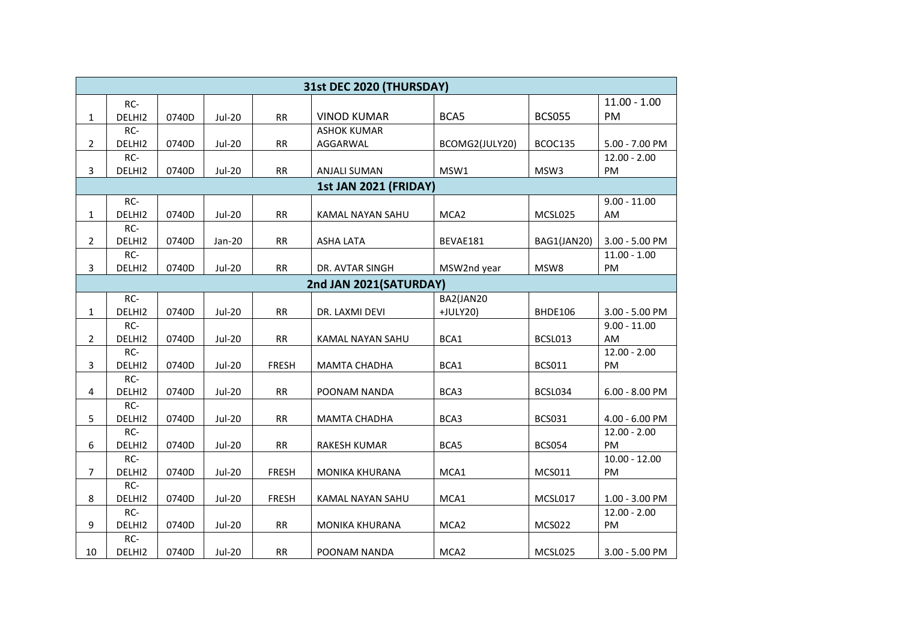| 31st DEC 2020 (THURSDAY) |               |       |               |              |                     |                  |               |                  |  |
|--------------------------|---------------|-------|---------------|--------------|---------------------|------------------|---------------|------------------|--|
|                          | RC-           |       |               |              |                     |                  |               | $11.00 - 1.00$   |  |
| $\mathbf{1}$             | DELHI2        | 0740D | <b>Jul-20</b> | RR           | <b>VINOD KUMAR</b>  | BCA5             | <b>BCS055</b> | PM               |  |
|                          | RC-           |       |               |              | <b>ASHOK KUMAR</b>  |                  |               |                  |  |
| $\overline{2}$           | DELHI2        | 0740D | <b>Jul-20</b> | RR           | AGGARWAL            | BCOMG2(JULY20)   | BCOC135       | 5.00 - 7.00 PM   |  |
|                          | RC-           |       |               |              |                     |                  |               | $12.00 - 2.00$   |  |
| 3                        | DELHI2        | 0740D | <b>Jul-20</b> | RR           | <b>ANJALI SUMAN</b> | MSW1             | MSW3          | PM               |  |
| 1st JAN 2021 (FRIDAY)    |               |       |               |              |                     |                  |               |                  |  |
|                          | RC-           |       |               |              |                     |                  |               | $9.00 - 11.00$   |  |
| $\mathbf{1}$             | DELHI2        | 0740D | <b>Jul-20</b> | RR           | KAMAL NAYAN SAHU    | MCA <sub>2</sub> | MCSL025       | AM               |  |
|                          | RC-           |       |               |              |                     |                  |               |                  |  |
| $\overline{2}$           | DELHI2        | 0740D | Jan-20        | RR           | <b>ASHA LATA</b>    | BEVAE181         | BAG1(JAN20)   | 3.00 - 5.00 PM   |  |
|                          | RC-           |       |               |              |                     |                  |               | $11.00 - 1.00$   |  |
| 3                        | DELHI2        | 0740D | <b>Jul-20</b> | RR           | DR. AVTAR SINGH     | MSW2nd year      | MSW8          | PM               |  |
| 2nd JAN 2021(SATURDAY)   |               |       |               |              |                     |                  |               |                  |  |
|                          | RC-           |       |               |              |                     | BA2(JAN20        |               |                  |  |
| $\mathbf{1}$             | DELHI2        | 0740D | <b>Jul-20</b> | RR           | DR. LAXMI DEVI      | +JULY20)         | BHDE106       | 3.00 - 5.00 PM   |  |
|                          | RC-           |       |               |              |                     |                  |               | $9.00 - 11.00$   |  |
| $\overline{2}$           | DELHI2        | 0740D | <b>Jul-20</b> | RR           | KAMAL NAYAN SAHU    | BCA1             | BCSL013       | AM               |  |
|                          | RC-           |       |               |              |                     |                  |               | $12.00 - 2.00$   |  |
| 3                        | DELHI2<br>RC- | 0740D | <b>Jul-20</b> | <b>FRESH</b> | <b>MAMTA CHADHA</b> | BCA1             | <b>BCS011</b> | PM               |  |
| 4                        | DELHI2        | 0740D | <b>Jul-20</b> | RR           | POONAM NANDA        | BCA3             | BCSL034       | $6.00 - 8.00$ PM |  |
|                          | RC-           |       |               |              |                     |                  |               |                  |  |
| 5                        | DELHI2        | 0740D | <b>Jul-20</b> | RR           | <b>MAMTA CHADHA</b> | BCA3             | <b>BCS031</b> | 4.00 - 6.00 PM   |  |
|                          | RC-           |       |               |              |                     |                  |               | $12.00 - 2.00$   |  |
| 6                        | DELHI2        | 0740D | <b>Jul-20</b> | RR           | RAKESH KUMAR        | BCA5             | <b>BCS054</b> | PM               |  |
|                          | RC-           |       |               |              |                     |                  |               | $10.00 - 12.00$  |  |
| $\overline{7}$           | DELHI2        | 0740D | <b>Jul-20</b> | <b>FRESH</b> | MONIKA KHURANA      | MCA1             | <b>MCS011</b> | PM               |  |
|                          | RC-           |       |               |              |                     |                  |               |                  |  |
| 8                        | DELHI2        | 0740D | <b>Jul-20</b> | <b>FRESH</b> | KAMAL NAYAN SAHU    | MCA1             | MCSL017       | 1.00 - 3.00 PM   |  |
|                          | RC-           |       |               |              |                     |                  |               | $12.00 - 2.00$   |  |
| 9                        | DELHI2        | 0740D | <b>Jul-20</b> | RR           | MONIKA KHURANA      | MCA <sub>2</sub> | <b>MCS022</b> | PM               |  |
|                          | RC-           |       |               |              |                     |                  |               |                  |  |
| 10                       | DELHI2        | 0740D | <b>Jul-20</b> | RR           | POONAM NANDA        | MCA <sub>2</sub> | MCSL025       | 3.00 - 5.00 PM   |  |